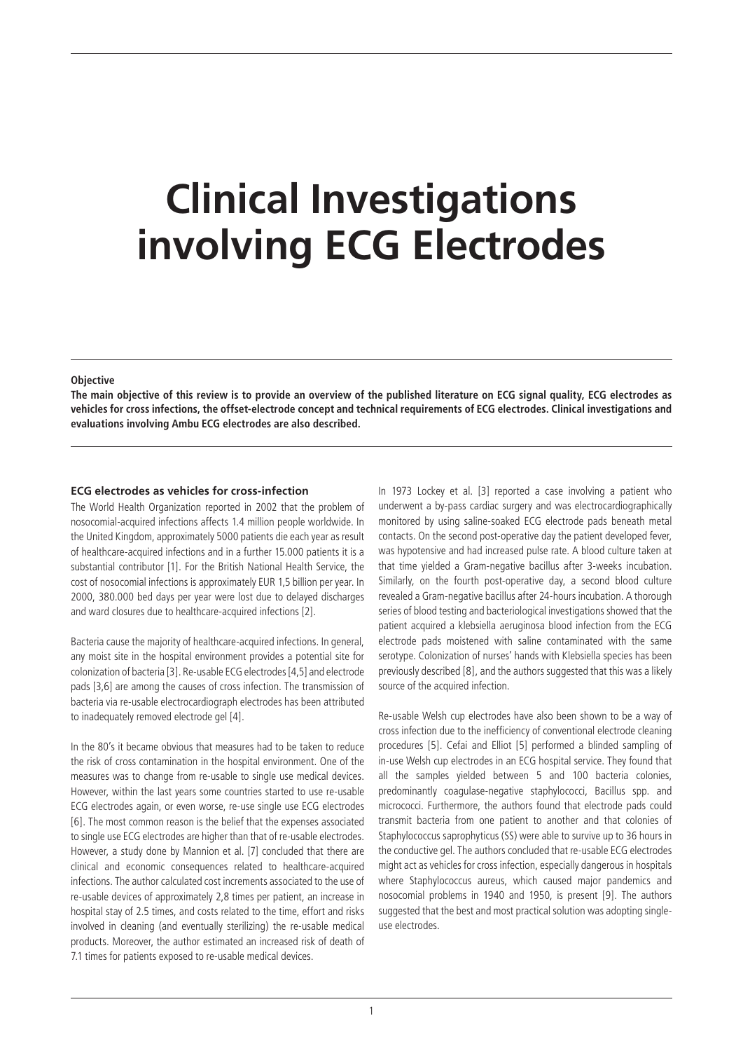# **Clinical Investigations involving ECG Electrodes**

#### **Objective**

**The main objective of this review is to provide an overview of the published literature on ECG signal quality, ECG electrodes as vehicles for cross infections, the offset-electrode concept and technical requirements of ECG electrodes. Clinical investigations and evaluations involving Ambu ECG electrodes are also described.** 

## **ECG electrodes as vehicles for cross-infection**

The World Health Organization reported in 2002 that the problem of nosocomial-acquired infections affects 1.4 million people worldwide. In the United Kingdom, approximately 5000 patients die each year as result of healthcare-acquired infections and in a further 15.000 patients it is a substantial contributor [1]. For the British National Health Service, the cost of nosocomial infections is approximately EUR 1,5 billion per year. In 2000, 380.000 bed days per year were lost due to delayed discharges and ward closures due to healthcare-acquired infections [2].

Bacteria cause the majority of healthcare-acquired infections. In general, any moist site in the hospital environment provides a potential site for colonization of bacteria [3]. Re-usable ECG electrodes [4,5] and electrode pads [3,6] are among the causes of cross infection. The transmission of bacteria via re-usable electrocardiograph electrodes has been attributed to inadequately removed electrode gel [4].

In the 80's it became obvious that measures had to be taken to reduce the risk of cross contamination in the hospital environment. One of the measures was to change from re-usable to single use medical devices. However, within the last years some countries started to use re-usable ECG electrodes again, or even worse, re-use single use ECG electrodes [6]. The most common reason is the belief that the expenses associated to single use ECG electrodes are higher than that of re-usable electrodes. However, a study done by Mannion et al. [7] concluded that there are clinical and economic consequences related to healthcare-acquired infections. The author calculated cost increments associated to the use of re-usable devices of approximately 2,8 times per patient, an increase in hospital stay of 2.5 times, and costs related to the time, effort and risks involved in cleaning (and eventually sterilizing) the re-usable medical products. Moreover, the author estimated an increased risk of death of 7.1 times for patients exposed to re-usable medical devices.

In 1973 Lockey et al. [3] reported a case involving a patient who underwent a by-pass cardiac surgery and was electrocardiographically monitored by using saline-soaked ECG electrode pads beneath metal contacts. On the second post-operative day the patient developed fever, was hypotensive and had increased pulse rate. A blood culture taken at that time yielded a Gram-negative bacillus after 3-weeks incubation. Similarly, on the fourth post-operative day, a second blood culture revealed a Gram-negative bacillus after 24-hours incubation. A thorough series of blood testing and bacteriological investigations showed that the patient acquired a klebsiella aeruginosa blood infection from the ECG electrode pads moistened with saline contaminated with the same serotype. Colonization of nurses' hands with Klebsiella species has been previously described [8], and the authors suggested that this was a likely source of the acquired infection.

Re-usable Welsh cup electrodes have also been shown to be a way of cross infection due to the inefficiency of conventional electrode cleaning procedures [5]. Cefai and Elliot [5] performed a blinded sampling of in-use Welsh cup electrodes in an ECG hospital service. They found that all the samples yielded between 5 and 100 bacteria colonies, predominantly coagulase-negative staphylococci, Bacillus spp. and micrococci. Furthermore, the authors found that electrode pads could transmit bacteria from one patient to another and that colonies of Staphylococcus saprophyticus (SS) were able to survive up to 36 hours in the conductive gel. The authors concluded that re-usable ECG electrodes might act as vehicles for cross infection, especially dangerous in hospitals where Staphylococcus aureus, which caused major pandemics and nosocomial problems in 1940 and 1950, is present [9]. The authors suggested that the best and most practical solution was adopting singleuse electrodes.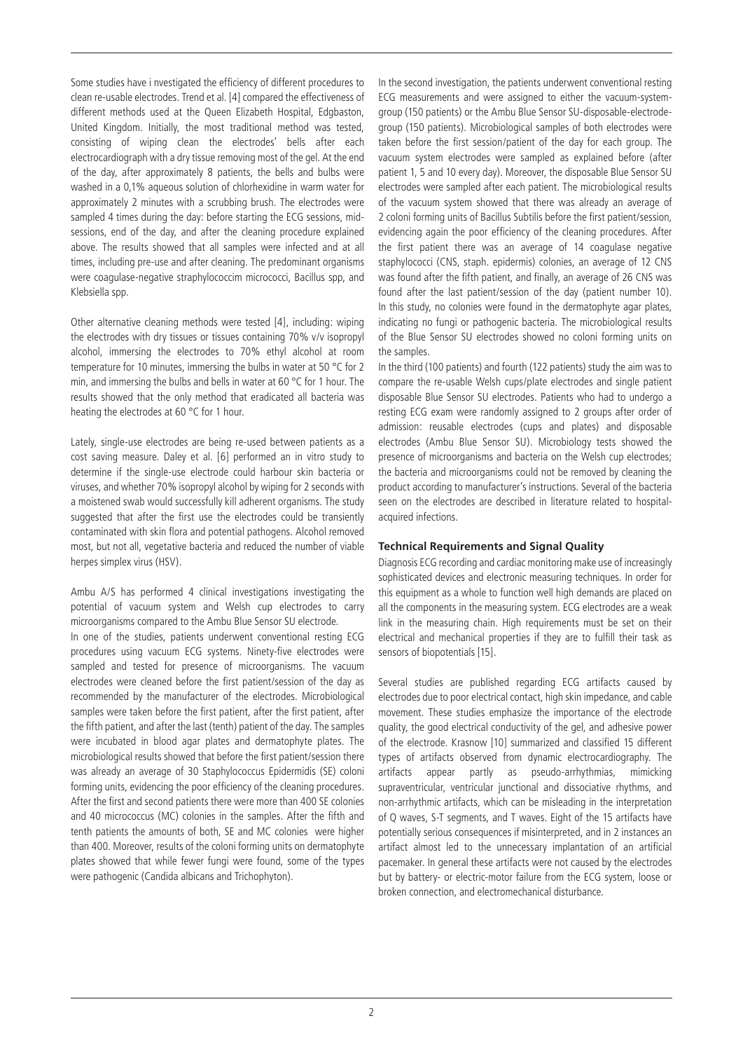Some studies have i nvestigated the efficiency of different procedures to clean re-usable electrodes. Trend et al. [4] compared the effectiveness of different methods used at the Queen Elizabeth Hospital, Edgbaston, United Kingdom. Initially, the most traditional method was tested, consisting of wiping clean the electrodes' bells after each electrocardiograph with a dry tissue removing most of the gel. At the end of the day, after approximately 8 patients, the bells and bulbs were washed in a 0,1% aqueous solution of chlorhexidine in warm water for approximately 2 minutes with a scrubbing brush. The electrodes were sampled 4 times during the day: before starting the ECG sessions, midsessions, end of the day, and after the cleaning procedure explained above. The results showed that all samples were infected and at all times, including pre-use and after cleaning. The predominant organisms were coagulase-negative straphylococcim micrococci, Bacillus spp, and Klebsiella spp.

Other alternative cleaning methods were tested [4], including: wiping the electrodes with dry tissues or tissues containing 70% v/v isopropyl alcohol, immersing the electrodes to 70% ethyl alcohol at room temperature for 10 minutes, immersing the bulbs in water at 50 °C for 2 min, and immersing the bulbs and bells in water at 60 °C for 1 hour. The results showed that the only method that eradicated all bacteria was heating the electrodes at 60 °C for 1 hour.

Lately, single-use electrodes are being re-used between patients as a cost saving measure. Daley et al. [6] performed an in vitro study to determine if the single-use electrode could harbour skin bacteria or viruses, and whether 70% isopropyl alcohol by wiping for 2 seconds with a moistened swab would successfully kill adherent organisms. The study suggested that after the first use the electrodes could be transiently contaminated with skin flora and potential pathogens. Alcohol removed most, but not all, vegetative bacteria and reduced the number of viable herpes simplex virus (HSV).

Ambu A/S has performed 4 clinical investigations investigating the potential of vacuum system and Welsh cup electrodes to carry microorganisms compared to the Ambu Blue Sensor SU electrode.

In one of the studies, patients underwent conventional resting ECG procedures using vacuum ECG systems. Ninety-five electrodes were sampled and tested for presence of microorganisms. The vacuum electrodes were cleaned before the first patient/session of the day as recommended by the manufacturer of the electrodes. Microbiological samples were taken before the first patient, after the first patient, after the fifth patient, and after the last (tenth) patient of the day. The samples were incubated in blood agar plates and dermatophyte plates. The microbiological results showed that before the first patient/session there was already an average of 30 Staphylococcus Epidermidis (SE) coloni forming units, evidencing the poor efficiency of the cleaning procedures. After the first and second patients there were more than 400 SE colonies and 40 micrococcus (MC) colonies in the samples. After the fifth and tenth patients the amounts of both, SE and MC colonies were higher than 400. Moreover, results of the coloni forming units on dermatophyte plates showed that while fewer fungi were found, some of the types were pathogenic (Candida albicans and Trichophyton).

In the second investigation, the patients underwent conventional resting ECG measurements and were assigned to either the vacuum-systemgroup (150 patients) or the Ambu Blue Sensor SU-disposable-electrodegroup (150 patients). Microbiological samples of both electrodes were taken before the first session/patient of the day for each group. The vacuum system electrodes were sampled as explained before (after patient 1, 5 and 10 every day). Moreover, the disposable Blue Sensor SU electrodes were sampled after each patient. The microbiological results of the vacuum system showed that there was already an average of 2 coloni forming units of Bacillus Subtilis before the first patient/session, evidencing again the poor efficiency of the cleaning procedures. After the first patient there was an average of 14 coagulase negative staphylococci (CNS, staph. epidermis) colonies, an average of 12 CNS was found after the fifth patient, and finally, an average of 26 CNS was found after the last patient/session of the day (patient number 10). In this study, no colonies were found in the dermatophyte agar plates, indicating no fungi or pathogenic bacteria. The microbiological results of the Blue Sensor SU electrodes showed no coloni forming units on the samples.

In the third (100 patients) and fourth (122 patients) study the aim was to compare the re-usable Welsh cups/plate electrodes and single patient disposable Blue Sensor SU electrodes. Patients who had to undergo a resting ECG exam were randomly assigned to 2 groups after order of admission: reusable electrodes (cups and plates) and disposable electrodes (Ambu Blue Sensor SU). Microbiology tests showed the presence of microorganisms and bacteria on the Welsh cup electrodes; the bacteria and microorganisms could not be removed by cleaning the product according to manufacturer's instructions. Several of the bacteria seen on the electrodes are described in literature related to hospitalacquired infections.

#### **Technical Requirements and Signal Quality**

Diagnosis ECG recording and cardiac monitoring make use of increasingly sophisticated devices and electronic measuring techniques. In order for this equipment as a whole to function well high demands are placed on all the components in the measuring system. ECG electrodes are a weak link in the measuring chain. High requirements must be set on their electrical and mechanical properties if they are to fulfill their task as sensors of biopotentials [15].

Several studies are published regarding ECG artifacts caused by electrodes due to poor electrical contact, high skin impedance, and cable movement. These studies emphasize the importance of the electrode quality, the good electrical conductivity of the gel, and adhesive power of the electrode. Krasnow [10] summarized and classified 15 different types of artifacts observed from dynamic electrocardiography. The artifacts appear partly as pseudo-arrhythmias, mimicking supraventricular, ventricular junctional and dissociative rhythms, and non-arrhythmic artifacts, which can be misleading in the interpretation of Q waves, S-T segments, and T waves. Eight of the 15 artifacts have potentially serious consequences if misinterpreted, and in 2 instances an artifact almost led to the unnecessary implantation of an artificial pacemaker. In general these artifacts were not caused by the electrodes but by battery- or electric-motor failure from the ECG system, loose or broken connection, and electromechanical disturbance.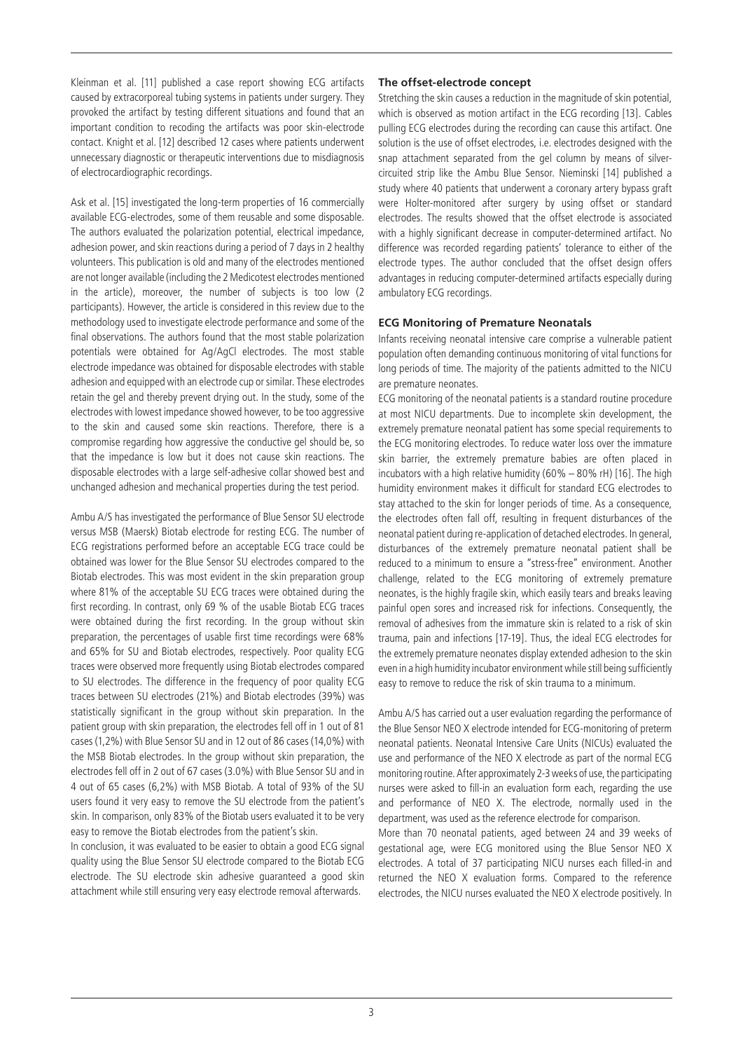Kleinman et al. [11] published a case report showing ECG artifacts caused by extracorporeal tubing systems in patients under surgery. They provoked the artifact by testing different situations and found that an important condition to recoding the artifacts was poor skin-electrode contact. Knight et al. [12] described 12 cases where patients underwent unnecessary diagnostic or therapeutic interventions due to misdiagnosis of electrocardiographic recordings.

Ask et al. [15] investigated the long-term properties of 16 commercially available ECG-electrodes, some of them reusable and some disposable. The authors evaluated the polarization potential, electrical impedance, adhesion power, and skin reactions during a period of 7 days in 2 healthy volunteers. This publication is old and many of the electrodes mentioned are not longer available (including the 2 Medicotest electrodes mentioned in the article), moreover, the number of subjects is too low (2 participants). However, the article is considered in this review due to the methodology used to investigate electrode performance and some of the final observations. The authors found that the most stable polarization potentials were obtained for Ag/AgCl electrodes. The most stable electrode impedance was obtained for disposable electrodes with stable adhesion and equipped with an electrode cup or similar. These electrodes retain the gel and thereby prevent drying out. In the study, some of the electrodes with lowest impedance showed however, to be too aggressive to the skin and caused some skin reactions. Therefore, there is a compromise regarding how aggressive the conductive gel should be, so that the impedance is low but it does not cause skin reactions. The disposable electrodes with a large self-adhesive collar showed best and unchanged adhesion and mechanical properties during the test period.

Ambu A/S has investigated the performance of Blue Sensor SU electrode versus MSB (Maersk) Biotab electrode for resting ECG. The number of ECG registrations performed before an acceptable ECG trace could be obtained was lower for the Blue Sensor SU electrodes compared to the Biotab electrodes. This was most evident in the skin preparation group where 81% of the acceptable SU ECG traces were obtained during the first recording. In contrast, only 69 % of the usable Biotab ECG traces were obtained during the first recording. In the group without skin preparation, the percentages of usable first time recordings were 68% and 65% for SU and Biotab electrodes, respectively. Poor quality ECG traces were observed more frequently using Biotab electrodes compared to SU electrodes. The difference in the frequency of poor quality ECG traces between SU electrodes (21%) and Biotab electrodes (39%) was statistically significant in the group without skin preparation. In the patient group with skin preparation, the electrodes fell off in 1 out of 81 cases (1,2%) with Blue Sensor SU and in 12 out of 86 cases (14,0%) with the MSB Biotab electrodes. In the group without skin preparation, the electrodes fell off in 2 out of 67 cases (3.0%) with Blue Sensor SU and in 4 out of 65 cases (6,2%) with MSB Biotab. A total of 93% of the SU users found it very easy to remove the SU electrode from the patient's skin. In comparison, only 83% of the Biotab users evaluated it to be very easy to remove the Biotab electrodes from the patient's skin.

In conclusion, it was evaluated to be easier to obtain a good ECG signal quality using the Blue Sensor SU electrode compared to the Biotab ECG electrode. The SU electrode skin adhesive guaranteed a good skin attachment while still ensuring very easy electrode removal afterwards.

### **The offset-electrode concept**

Stretching the skin causes a reduction in the magnitude of skin potential, which is observed as motion artifact in the ECG recording [13]. Cables pulling ECG electrodes during the recording can cause this artifact. One solution is the use of offset electrodes, i.e. electrodes designed with the snap attachment separated from the gel column by means of silvercircuited strip like the Ambu Blue Sensor. Nieminski [14] published a study where 40 patients that underwent a coronary artery bypass graft were Holter-monitored after surgery by using offset or standard electrodes. The results showed that the offset electrode is associated with a highly significant decrease in computer-determined artifact. No difference was recorded regarding patients' tolerance to either of the electrode types. The author concluded that the offset design offers advantages in reducing computer-determined artifacts especially during ambulatory ECG recordings.

## **ECG Monitoring of Premature Neonatals**

Infants receiving neonatal intensive care comprise a vulnerable patient population often demanding continuous monitoring of vital functions for long periods of time. The majority of the patients admitted to the NICU are premature neonates.

ECG monitoring of the neonatal patients is a standard routine procedure at most NICU departments. Due to incomplete skin development, the extremely premature neonatal patient has some special requirements to the ECG monitoring electrodes. To reduce water loss over the immature skin barrier, the extremely premature babies are often placed in incubators with a high relative humidity  $(60\% - 80\% \text{ rH})$  [16]. The high humidity environment makes it difficult for standard ECG electrodes to stay attached to the skin for longer periods of time. As a consequence, the electrodes often fall off, resulting in frequent disturbances of the neonatal patient during re-application of detached electrodes. In general, disturbances of the extremely premature neonatal patient shall be reduced to a minimum to ensure a "stress-free" environment. Another challenge, related to the ECG monitoring of extremely premature neonates, is the highly fragile skin, which easily tears and breaks leaving painful open sores and increased risk for infections. Consequently, the removal of adhesives from the immature skin is related to a risk of skin trauma, pain and infections [17-19]. Thus, the ideal ECG electrodes for the extremely premature neonates display extended adhesion to the skin even in a high humidity incubator environment while still being sufficiently easy to remove to reduce the risk of skin trauma to a minimum.

Ambu A/S has carried out a user evaluation regarding the performance of the Blue Sensor NEO X electrode intended for ECG-monitoring of preterm neonatal patients. Neonatal Intensive Care Units (NICUs) evaluated the use and performance of the NEO X electrode as part of the normal ECG monitoring routine. After approximately 2-3 weeks of use, the participating nurses were asked to fill-in an evaluation form each, regarding the use and performance of NEO X. The electrode, normally used in the department, was used as the reference electrode for comparison.

More than 70 neonatal patients, aged between 24 and 39 weeks of gestational age, were ECG monitored using the Blue Sensor NEO X electrodes. A total of 37 participating NICU nurses each filled-in and returned the NEO X evaluation forms. Compared to the reference electrodes, the NICU nurses evaluated the NEO X electrode positively. In